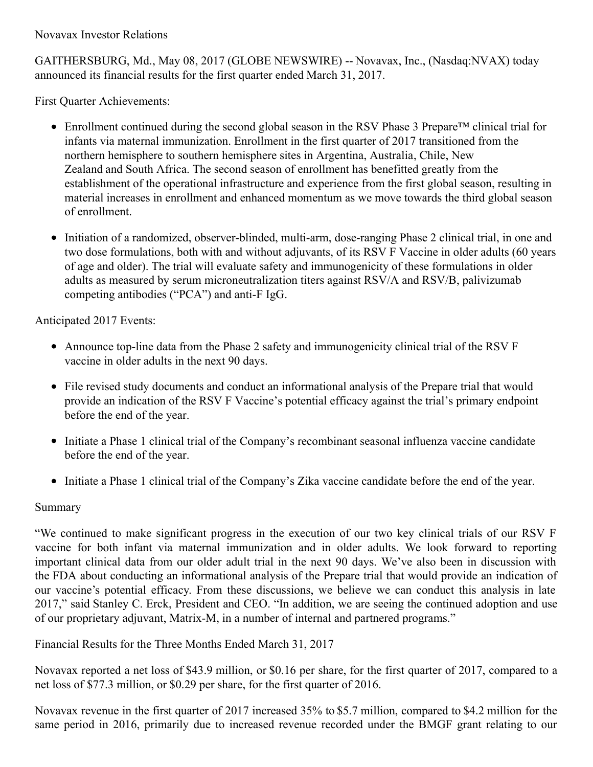Novavax Investor Relations

GAITHERSBURG, Md., May 08, 2017 (GLOBE NEWSWIRE) -- Novavax, Inc., (Nasdaq:NVAX) today announced its financial results for the first quarter ended March 31, 2017.

First Quarter Achievements:

- Enrollment continued during the second global season in the RSV Phase 3 Prepare™ clinical trial for infants via maternal immunization. Enrollment in the first quarter of 2017 transitioned from the northern hemisphere to southern hemisphere sites in Argentina, Australia, Chile, New Zealand and South Africa. The second season of enrollment has benefitted greatly from the establishment of the operational infrastructure and experience from the first global season, resulting in material increases in enrollment and enhanced momentum as we move towards the third global season of enrollment.
- Initiation of a randomized, observer-blinded, multi-arm, dose-ranging Phase 2 clinical trial, in one and two dose formulations, both with and without adjuvants, of its RSV F Vaccine in older adults (60 years of age and older). The trial will evaluate safety and immunogenicity of these formulations in older adults as measured by serum microneutralization titers against RSV/A and RSV/B, palivizumab competing antibodies ("PCA") and anti-F IgG.

Anticipated 2017 Events:

- Announce top-line data from the Phase 2 safety and immunogenicity clinical trial of the RSV F vaccine in older adults in the next 90 days.
- File revised study documents and conduct an informational analysis of the Prepare trial that would provide an indication of the RSV F Vaccine's potential efficacy against the trial's primary endpoint before the end of the year.
- Initiate a Phase 1 clinical trial of the Company's recombinant seasonal influenza vaccine candidate before the end of the year.
- Initiate a Phase 1 clinical trial of the Company's Zika vaccine candidate before the end of the year.

## Summary

"We continued to make significant progress in the execution of our two key clinical trials of our RSV F vaccine for both infant via maternal immunization and in older adults. We look forward to reporting important clinical data from our older adult trial in the next 90 days. We've also been in discussion with the FDA about conducting an informational analysis of the Prepare trial that would provide an indication of our vaccine's potential efficacy. From these discussions, we believe we can conduct this analysis in late 2017," said Stanley C. Erck, President and CEO. "In addition, we are seeing the continued adoption and use of our proprietary adjuvant, Matrix-M, in a number of internal and partnered programs."

Financial Results for the Three Months Ended March 31, 2017

Novavax reported a net loss of \$43.9 million, or \$0.16 per share, for the first quarter of 2017, compared to a net loss of \$77.3 million, or \$0.29 per share, for the first quarter of 2016.

Novavax revenue in the first quarter of 2017 increased 35% to \$5.7 million, compared to \$4.2 million for the same period in 2016, primarily due to increased revenue recorded under the BMGF grant relating to our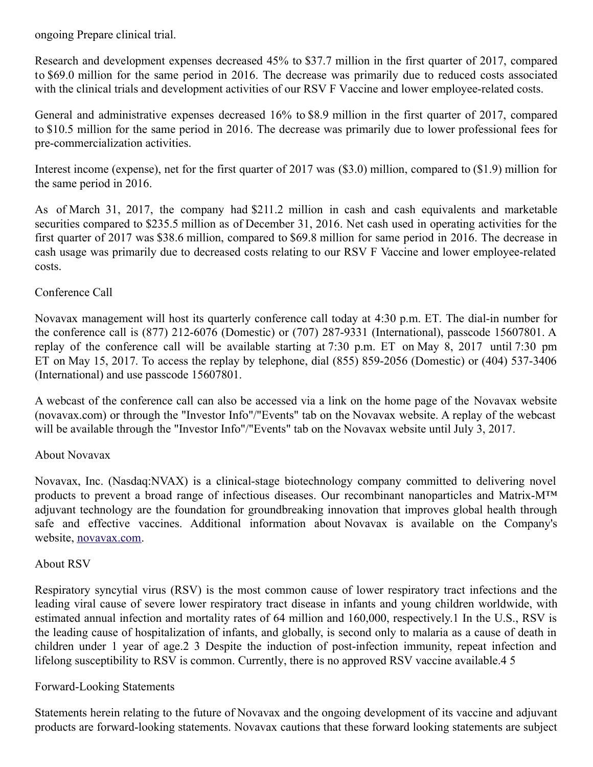ongoing Prepare clinical trial.

Research and development expenses decreased 45% to \$37.7 million in the first quarter of 2017, compared to \$69.0 million for the same period in 2016. The decrease was primarily due to reduced costs associated with the clinical trials and development activities of our RSV F Vaccine and lower employee-related costs.

General and administrative expenses decreased 16% to \$8.9 million in the first quarter of 2017, compared to \$10.5 million for the same period in 2016. The decrease was primarily due to lower professional fees for pre-commercialization activities.

Interest income (expense), net for the first quarter of 2017 was (\$3.0) million, compared to (\$1.9) million for the same period in 2016.

As of March 31, 2017, the company had \$211.2 million in cash and cash equivalents and marketable securities compared to \$235.5 million as of December 31, 2016. Net cash used in operating activities for the first quarter of 2017 was \$38.6 million, compared to \$69.8 million for same period in 2016. The decrease in cash usage was primarily due to decreased costs relating to our RSV F Vaccine and lower employee-related costs.

### Conference Call

Novavax management will host its quarterly conference call today at 4:30 p.m. ET. The dial-in number for the conference call is (877) 212-6076 (Domestic) or (707) 287-9331 (International), passcode 15607801. A replay of the conference call will be available starting at 7:30 p.m. ET on May 8, 2017 until 7:30 pm ET on May 15, 2017. To access the replay by telephone, dial (855) 859-2056 (Domestic) or (404) 537-3406 (International) and use passcode 15607801.

A webcast of the conference call can also be accessed via a link on the home page of the Novavax website (novavax.com) or through the "Investor Info"/"Events" tab on the Novavax website. A replay of the webcast will be available through the "Investor Info"/"Events" tab on the Novavax website until July 3, 2017.

#### About Novavax

Novavax, Inc. (Nasdaq:NVAX) is a clinical-stage biotechnology company committed to delivering novel products to prevent a broad range of infectious diseases. Our recombinant nanoparticles and Matrix-M™ adjuvant technology are the foundation for groundbreaking innovation that improves global health through safe and effective vaccines. Additional information about Novavax is available on the Company's website, [novavax.com](https://www.globenewswire.com/Tracker?data=jd0_jhBb1ZMQnuZ84XzQZ0eeab8eyIGFbANcIN0CMifEFLBMyUr87LY4NrJQT3HY0-k99efs5BvBVrFWQA_UZQ==).

#### About RSV

Respiratory syncytial virus (RSV) is the most common cause of lower respiratory tract infections and the leading viral cause of severe lower respiratory tract disease in infants and young children worldwide, with estimated annual infection and mortality rates of 64 million and 160,000, respectively.1 In the U.S., RSV is the leading cause of hospitalization of infants, and globally, is second only to malaria as a cause of death in children under 1 year of age.2 3 Despite the induction of post-infection immunity, repeat infection and lifelong susceptibility to RSV is common. Currently, there is no approved RSV vaccine available.4 5

#### Forward-Looking Statements

Statements herein relating to the future of Novavax and the ongoing development of its vaccine and adjuvant products are forward-looking statements. Novavax cautions that these forward looking statements are subject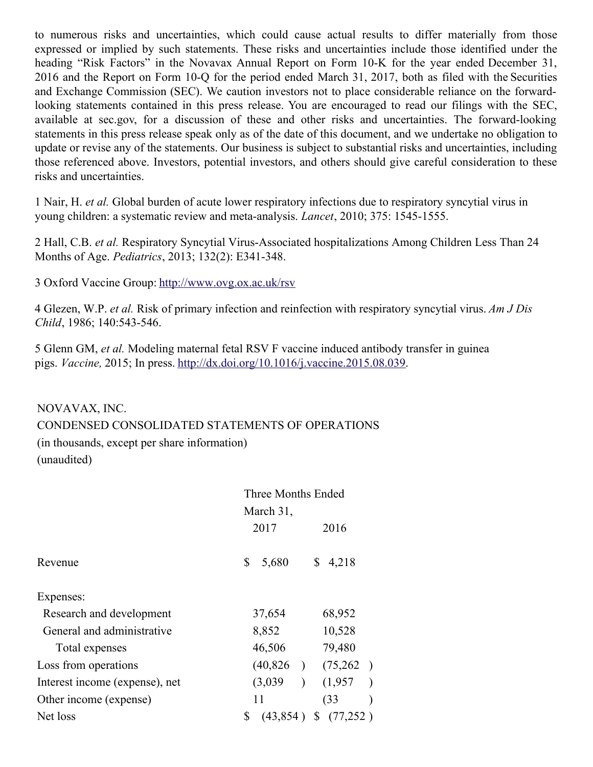to numerous risks and uncertainties, which could cause actual results to differ materially from those expressed or implied by such statements. These risks and uncertainties include those identified under the heading "Risk Factors" in the Novavax Annual Report on Form 10-K for the year ended December 31, 2016 and the Report on Form 10-Q for the period ended March 31, 2017, both as filed with the Securities and Exchange Commission (SEC). We caution investors not to place considerable reliance on the forwardlooking statements contained in this press release. You are encouraged to read our filings with the SEC, available at sec.gov, for a discussion of these and other risks and uncertainties. The forward-looking statements in this press release speak only as of the date of this document, and we undertake no obligation to update or revise any of the statements. Our business is subject to substantial risks and uncertainties, including those referenced above. Investors, potential investors, and others should give careful consideration to these risks and uncertainties.

1 Nair, H. *et al.* Global burden of acute lower respiratory infections due to respiratory syncytial virus in young children: a systematic review and meta-analysis. *Lancet*, 2010; 375: 1545-1555.

2 Hall, C.B. *et al.* Respiratory Syncytial Virus-Associated hospitalizations Among Children Less Than 24 Months of Age. *Pediatrics*, 2013; 132(2): E341-348.

3 Oxford Vaccine Group: [http://www.ovg.ox.ac.uk/rsv](https://www.globenewswire.com/Tracker?data=ACEoXlfGHpnVz0CQfjKbrmPtB4uH7PSRuxjQFMjXurnc_vJbv02iWeHroW291uqp2KGF4F2op_fpnkK3UJcNWhO57tM4-5uAQMycLcmbuwg=)

4 Glezen, W.P. *et al.* Risk of primary infection and reinfection with respiratory syncytial virus. *Am J Dis Child*, 1986; 140:543-546.

5 Glenn GM, *et al.* Modeling maternal fetal RSV F vaccine induced antibody transfer in guinea pigs. *Vaccine,* 2015; In press. [http://dx.doi.org/10.1016/j.vaccine.2015.08.039](https://www.globenewswire.com/Tracker?data=ACEoXlfGHpnVz0CQfjKbrt5w7-KG75dbZGt89WUjvH6Izie4m4LQbwX7HoJ5qjUuZYCOIpqTgCmqaR__hRfqbgECf7_AductqinvYniI4dsJ79TbATv86kQpHAT5DDgHtWJEg9qAmpB3fdGnVEjdtk7VY29_K3b8CaPgAZuu2ho=).

#### NOVAVAX, INC.

CONDENSED CONSOLIDATED STATEMENTS OF OPERATIONS

(in thousands, except per share information) (unaudited)

|                                | Three Months Ended                |  |  |  |  |  |
|--------------------------------|-----------------------------------|--|--|--|--|--|
|                                | March 31,                         |  |  |  |  |  |
|                                | 2017<br>2016                      |  |  |  |  |  |
| Revenue                        | \$<br>5,680<br>4,218              |  |  |  |  |  |
| Expenses:                      |                                   |  |  |  |  |  |
| Research and development       | 37,654<br>68,952                  |  |  |  |  |  |
| General and administrative     | 8,852<br>10,528                   |  |  |  |  |  |
| Total expenses                 | 79,480<br>46,506                  |  |  |  |  |  |
| Loss from operations           | (40,826)<br>(75,262)              |  |  |  |  |  |
| Interest income (expense), net | (1,957)<br>(3,039)                |  |  |  |  |  |
| Other income (expense)         | 11<br>(33)                        |  |  |  |  |  |
| Net loss                       | \$<br>(43, 854)<br>$$^{(77,252)}$ |  |  |  |  |  |
|                                |                                   |  |  |  |  |  |